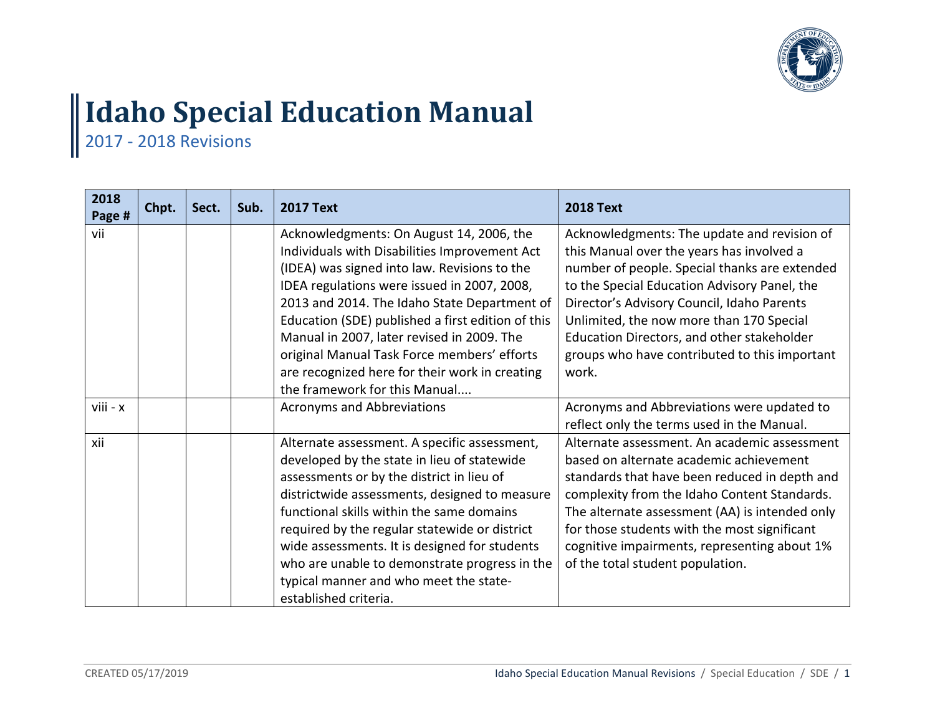

## **Idaho Special Education Manual**

2017 - 2018 Revisions

| 2018<br>Page # | Chpt. | Sect. | Sub. | <b>2017 Text</b>                                                                                                                                                                                                                                                                                                                                                                                                                                                              | <b>2018 Text</b>                                                                                                                                                                                                                                                                                                                                                                            |
|----------------|-------|-------|------|-------------------------------------------------------------------------------------------------------------------------------------------------------------------------------------------------------------------------------------------------------------------------------------------------------------------------------------------------------------------------------------------------------------------------------------------------------------------------------|---------------------------------------------------------------------------------------------------------------------------------------------------------------------------------------------------------------------------------------------------------------------------------------------------------------------------------------------------------------------------------------------|
| vii            |       |       |      | Acknowledgments: On August 14, 2006, the<br>Individuals with Disabilities Improvement Act<br>(IDEA) was signed into law. Revisions to the<br>IDEA regulations were issued in 2007, 2008,<br>2013 and 2014. The Idaho State Department of<br>Education (SDE) published a first edition of this<br>Manual in 2007, later revised in 2009. The<br>original Manual Task Force members' efforts<br>are recognized here for their work in creating<br>the framework for this Manual | Acknowledgments: The update and revision of<br>this Manual over the years has involved a<br>number of people. Special thanks are extended<br>to the Special Education Advisory Panel, the<br>Director's Advisory Council, Idaho Parents<br>Unlimited, the now more than 170 Special<br>Education Directors, and other stakeholder<br>groups who have contributed to this important<br>work. |
| viii - x       |       |       |      | <b>Acronyms and Abbreviations</b>                                                                                                                                                                                                                                                                                                                                                                                                                                             | Acronyms and Abbreviations were updated to<br>reflect only the terms used in the Manual.                                                                                                                                                                                                                                                                                                    |
| xii            |       |       |      | Alternate assessment. A specific assessment,<br>developed by the state in lieu of statewide<br>assessments or by the district in lieu of<br>districtwide assessments, designed to measure<br>functional skills within the same domains<br>required by the regular statewide or district<br>wide assessments. It is designed for students<br>who are unable to demonstrate progress in the<br>typical manner and who meet the state-<br>established criteria.                  | Alternate assessment. An academic assessment<br>based on alternate academic achievement<br>standards that have been reduced in depth and<br>complexity from the Idaho Content Standards.<br>The alternate assessment (AA) is intended only<br>for those students with the most significant<br>cognitive impairments, representing about 1%<br>of the total student population.              |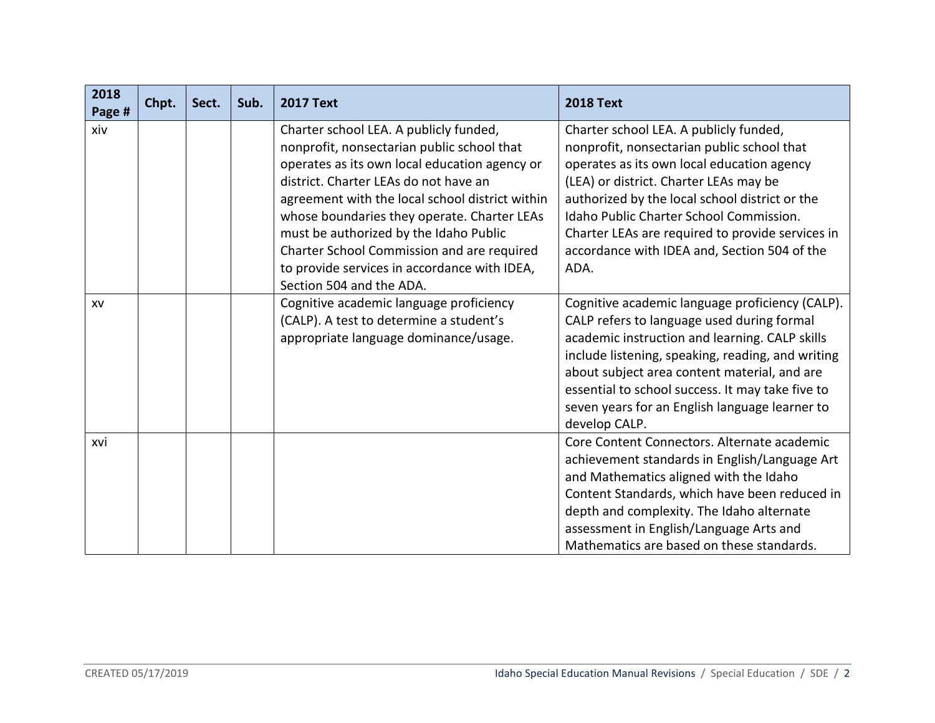| 2018<br>Page # | Chpt. | Sect. | Sub. | <b>2017 Text</b>                                                                                                                                                                                                                                                                                                                                                                                                                                     | <b>2018 Text</b>                                                                                                                                                                                                                                                                                                                                                                      |
|----------------|-------|-------|------|------------------------------------------------------------------------------------------------------------------------------------------------------------------------------------------------------------------------------------------------------------------------------------------------------------------------------------------------------------------------------------------------------------------------------------------------------|---------------------------------------------------------------------------------------------------------------------------------------------------------------------------------------------------------------------------------------------------------------------------------------------------------------------------------------------------------------------------------------|
| xiv            |       |       |      | Charter school LEA. A publicly funded,<br>nonprofit, nonsectarian public school that<br>operates as its own local education agency or<br>district. Charter LEAs do not have an<br>agreement with the local school district within<br>whose boundaries they operate. Charter LEAs<br>must be authorized by the Idaho Public<br>Charter School Commission and are required<br>to provide services in accordance with IDEA,<br>Section 504 and the ADA. | Charter school LEA. A publicly funded,<br>nonprofit, nonsectarian public school that<br>operates as its own local education agency<br>(LEA) or district. Charter LEAs may be<br>authorized by the local school district or the<br>Idaho Public Charter School Commission.<br>Charter LEAs are required to provide services in<br>accordance with IDEA and, Section 504 of the<br>ADA. |
| XV             |       |       |      | Cognitive academic language proficiency<br>(CALP). A test to determine a student's<br>appropriate language dominance/usage.                                                                                                                                                                                                                                                                                                                          | Cognitive academic language proficiency (CALP).<br>CALP refers to language used during formal<br>academic instruction and learning. CALP skills<br>include listening, speaking, reading, and writing<br>about subject area content material, and are<br>essential to school success. It may take five to<br>seven years for an English language learner to<br>develop CALP.           |
| xvi            |       |       |      |                                                                                                                                                                                                                                                                                                                                                                                                                                                      | Core Content Connectors. Alternate academic<br>achievement standards in English/Language Art<br>and Mathematics aligned with the Idaho<br>Content Standards, which have been reduced in<br>depth and complexity. The Idaho alternate<br>assessment in English/Language Arts and<br>Mathematics are based on these standards.                                                          |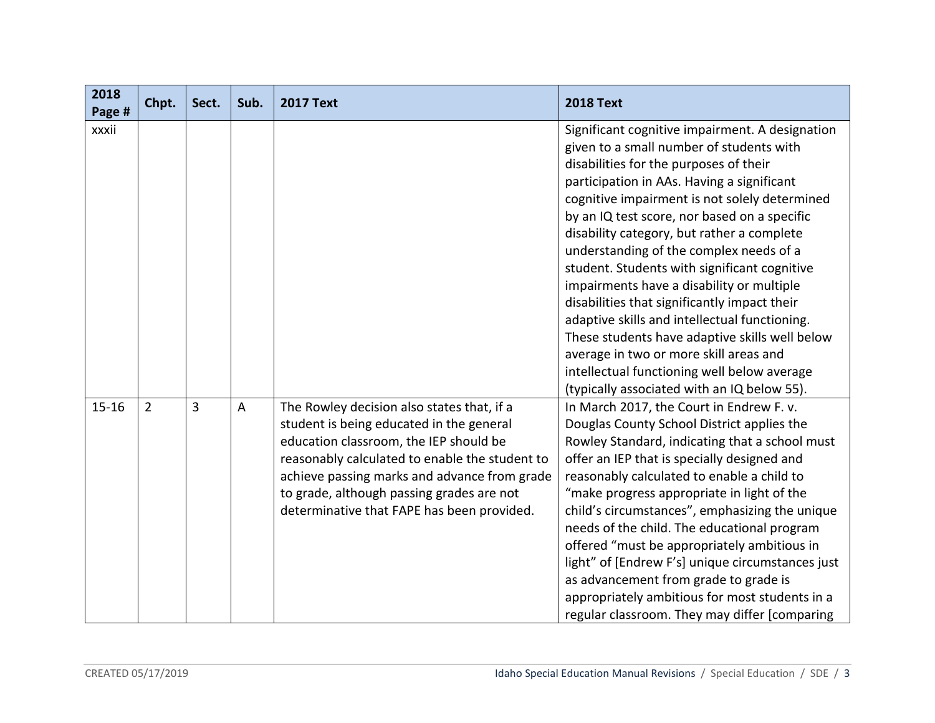| 2018<br>Page # | Chpt.          | Sect. | Sub.           | <b>2017 Text</b>                               | <b>2018 Text</b>                                 |
|----------------|----------------|-------|----------------|------------------------------------------------|--------------------------------------------------|
| xxxii          |                |       |                |                                                | Significant cognitive impairment. A designation  |
|                |                |       |                |                                                | given to a small number of students with         |
|                |                |       |                |                                                | disabilities for the purposes of their           |
|                |                |       |                |                                                | participation in AAs. Having a significant       |
|                |                |       |                |                                                | cognitive impairment is not solely determined    |
|                |                |       |                |                                                | by an IQ test score, nor based on a specific     |
|                |                |       |                |                                                | disability category, but rather a complete       |
|                |                |       |                |                                                | understanding of the complex needs of a          |
|                |                |       |                |                                                | student. Students with significant cognitive     |
|                |                |       |                |                                                | impairments have a disability or multiple        |
|                |                |       |                |                                                | disabilities that significantly impact their     |
|                |                |       |                |                                                | adaptive skills and intellectual functioning.    |
|                |                |       |                |                                                | These students have adaptive skills well below   |
|                |                |       |                |                                                | average in two or more skill areas and           |
|                |                |       |                |                                                | intellectual functioning well below average      |
|                |                |       |                |                                                | (typically associated with an IQ below 55).      |
| $15 - 16$      | $\overline{2}$ | 3     | $\overline{A}$ | The Rowley decision also states that, if a     | In March 2017, the Court in Endrew F. v.         |
|                |                |       |                | student is being educated in the general       | Douglas County School District applies the       |
|                |                |       |                | education classroom, the IEP should be         | Rowley Standard, indicating that a school must   |
|                |                |       |                | reasonably calculated to enable the student to | offer an IEP that is specially designed and      |
|                |                |       |                | achieve passing marks and advance from grade   | reasonably calculated to enable a child to       |
|                |                |       |                | to grade, although passing grades are not      | "make progress appropriate in light of the       |
|                |                |       |                | determinative that FAPE has been provided.     | child's circumstances", emphasizing the unique   |
|                |                |       |                |                                                | needs of the child. The educational program      |
|                |                |       |                |                                                | offered "must be appropriately ambitious in      |
|                |                |       |                |                                                | light" of [Endrew F's] unique circumstances just |
|                |                |       |                |                                                | as advancement from grade to grade is            |
|                |                |       |                |                                                | appropriately ambitious for most students in a   |
|                |                |       |                |                                                | regular classroom. They may differ [comparing    |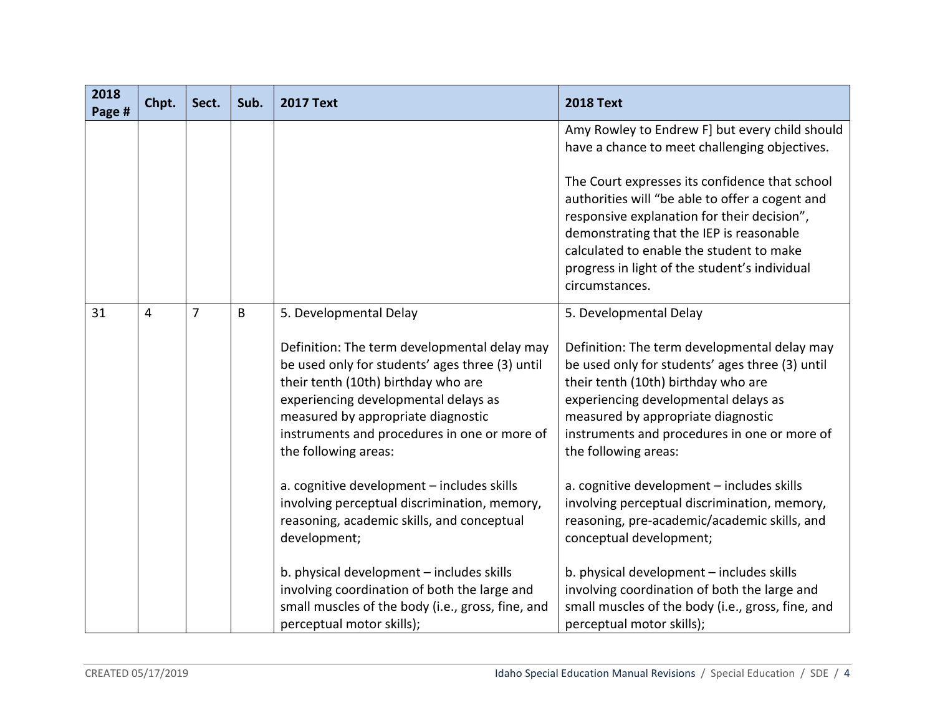| 2018<br>Page # | Chpt. | Sect.          | Sub. | <b>2017 Text</b>                                                                                                                                                                                                                                                                                                                                                                                                                                                                   | <b>2018 Text</b>                                                                                                                                                                                                                                                                                                                                                                                                                                                                                |
|----------------|-------|----------------|------|------------------------------------------------------------------------------------------------------------------------------------------------------------------------------------------------------------------------------------------------------------------------------------------------------------------------------------------------------------------------------------------------------------------------------------------------------------------------------------|-------------------------------------------------------------------------------------------------------------------------------------------------------------------------------------------------------------------------------------------------------------------------------------------------------------------------------------------------------------------------------------------------------------------------------------------------------------------------------------------------|
|                |       |                |      |                                                                                                                                                                                                                                                                                                                                                                                                                                                                                    | Amy Rowley to Endrew F] but every child should<br>have a chance to meet challenging objectives.                                                                                                                                                                                                                                                                                                                                                                                                 |
|                |       |                |      |                                                                                                                                                                                                                                                                                                                                                                                                                                                                                    | The Court expresses its confidence that school<br>authorities will "be able to offer a cogent and<br>responsive explanation for their decision",<br>demonstrating that the IEP is reasonable<br>calculated to enable the student to make<br>progress in light of the student's individual<br>circumstances.                                                                                                                                                                                     |
| 31             | 4     | $\overline{7}$ | B    | 5. Developmental Delay<br>Definition: The term developmental delay may<br>be used only for students' ages three (3) until<br>their tenth (10th) birthday who are<br>experiencing developmental delays as<br>measured by appropriate diagnostic<br>instruments and procedures in one or more of<br>the following areas:<br>a. cognitive development - includes skills<br>involving perceptual discrimination, memory,<br>reasoning, academic skills, and conceptual<br>development; | 5. Developmental Delay<br>Definition: The term developmental delay may<br>be used only for students' ages three (3) until<br>their tenth (10th) birthday who are<br>experiencing developmental delays as<br>measured by appropriate diagnostic<br>instruments and procedures in one or more of<br>the following areas:<br>a. cognitive development - includes skills<br>involving perceptual discrimination, memory,<br>reasoning, pre-academic/academic skills, and<br>conceptual development; |
|                |       |                |      | b. physical development - includes skills<br>involving coordination of both the large and<br>small muscles of the body (i.e., gross, fine, and<br>perceptual motor skills);                                                                                                                                                                                                                                                                                                        | b. physical development - includes skills<br>involving coordination of both the large and<br>small muscles of the body (i.e., gross, fine, and<br>perceptual motor skills);                                                                                                                                                                                                                                                                                                                     |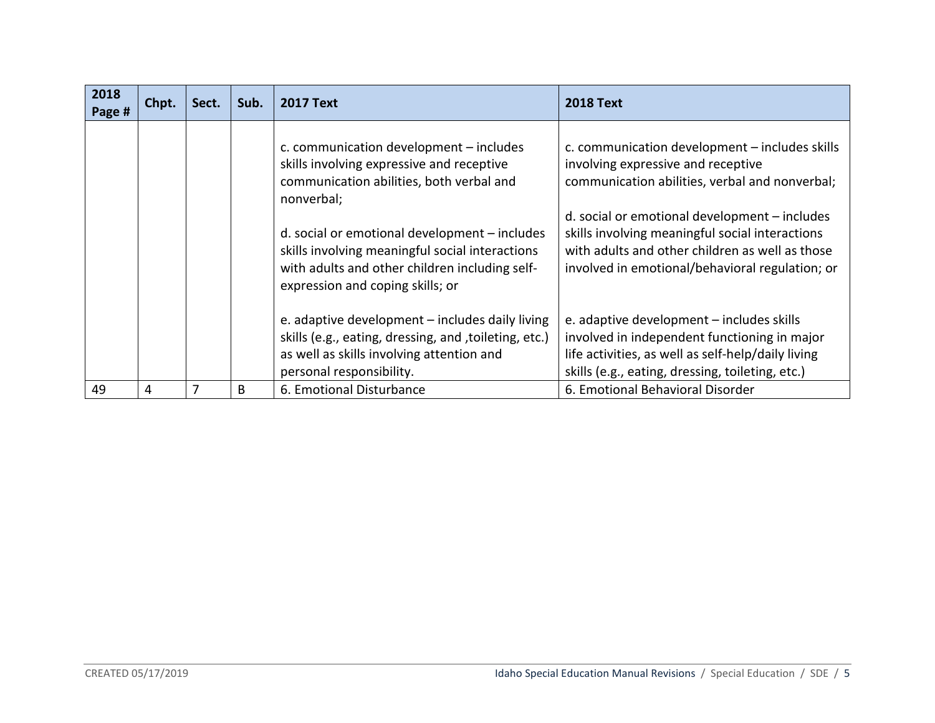| 2018<br>Page # | Chpt. | Sect. | Sub. | <b>2017 Text</b>                                                                                                                                                                       | <b>2018 Text</b>                                                                                                                                                                                       |
|----------------|-------|-------|------|----------------------------------------------------------------------------------------------------------------------------------------------------------------------------------------|--------------------------------------------------------------------------------------------------------------------------------------------------------------------------------------------------------|
|                |       |       |      | c. communication development - includes<br>skills involving expressive and receptive<br>communication abilities, both verbal and<br>nonverbal;                                         | c. communication development - includes skills<br>involving expressive and receptive<br>communication abilities, verbal and nonverbal;                                                                 |
|                |       |       |      | d. social or emotional development - includes<br>skills involving meaningful social interactions<br>with adults and other children including self-<br>expression and coping skills; or | d. social or emotional development - includes<br>skills involving meaningful social interactions<br>with adults and other children as well as those<br>involved in emotional/behavioral regulation; or |
|                |       |       |      | e. adaptive development - includes daily living<br>skills (e.g., eating, dressing, and , toileting, etc.)<br>as well as skills involving attention and<br>personal responsibility.     | e. adaptive development - includes skills<br>involved in independent functioning in major<br>life activities, as well as self-help/daily living<br>skills (e.g., eating, dressing, toileting, etc.)    |
| 49             | 4     | 7     | B    | 6. Emotional Disturbance                                                                                                                                                               | 6. Emotional Behavioral Disorder                                                                                                                                                                       |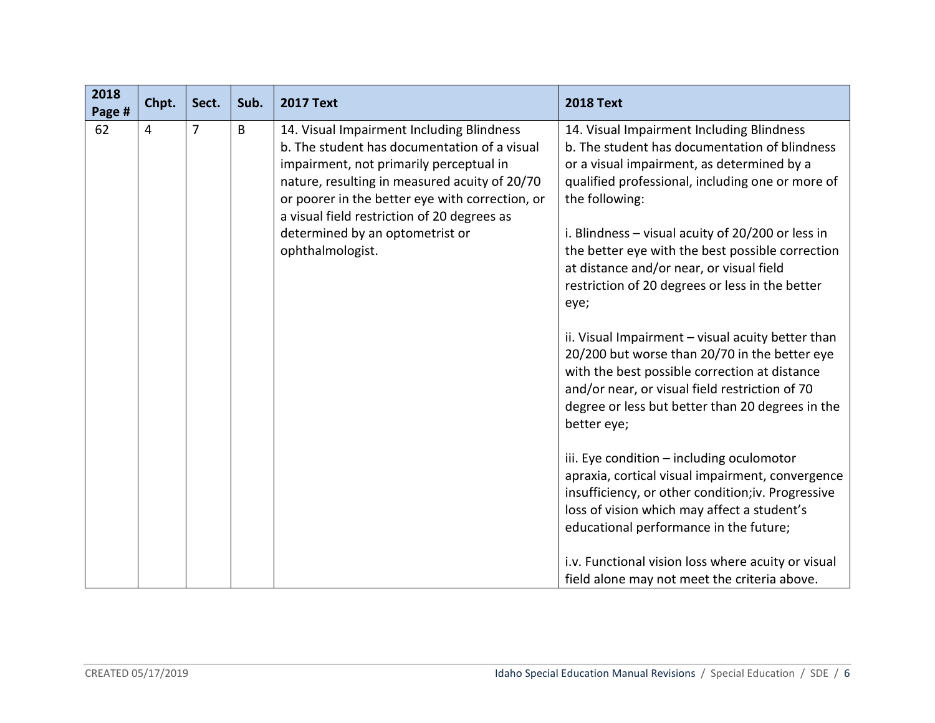| 2018<br>Page # | Chpt. | Sect.          | Sub. | <b>2017 Text</b>                                                                                                                                                                                                                                                                                                                               | <b>2018 Text</b>                                                                                                                                                                                                                                                                                                                                                                                                                                                                                                                                                                                                                                                                                                                                                                                                                                                                                                                                                                                                                                                  |
|----------------|-------|----------------|------|------------------------------------------------------------------------------------------------------------------------------------------------------------------------------------------------------------------------------------------------------------------------------------------------------------------------------------------------|-------------------------------------------------------------------------------------------------------------------------------------------------------------------------------------------------------------------------------------------------------------------------------------------------------------------------------------------------------------------------------------------------------------------------------------------------------------------------------------------------------------------------------------------------------------------------------------------------------------------------------------------------------------------------------------------------------------------------------------------------------------------------------------------------------------------------------------------------------------------------------------------------------------------------------------------------------------------------------------------------------------------------------------------------------------------|
| 62             | 4     | $\overline{7}$ | B    | 14. Visual Impairment Including Blindness<br>b. The student has documentation of a visual<br>impairment, not primarily perceptual in<br>nature, resulting in measured acuity of 20/70<br>or poorer in the better eye with correction, or<br>a visual field restriction of 20 degrees as<br>determined by an optometrist or<br>ophthalmologist. | 14. Visual Impairment Including Blindness<br>b. The student has documentation of blindness<br>or a visual impairment, as determined by a<br>qualified professional, including one or more of<br>the following:<br>i. Blindness $-$ visual acuity of 20/200 or less in<br>the better eye with the best possible correction<br>at distance and/or near, or visual field<br>restriction of 20 degrees or less in the better<br>eye;<br>ii. Visual Impairment - visual acuity better than<br>20/200 but worse than 20/70 in the better eye<br>with the best possible correction at distance<br>and/or near, or visual field restriction of 70<br>degree or less but better than 20 degrees in the<br>better eye;<br>iii. Eye condition - including oculomotor<br>apraxia, cortical visual impairment, convergence<br>insufficiency, or other condition;iv. Progressive<br>loss of vision which may affect a student's<br>educational performance in the future;<br>i.v. Functional vision loss where acuity or visual<br>field alone may not meet the criteria above. |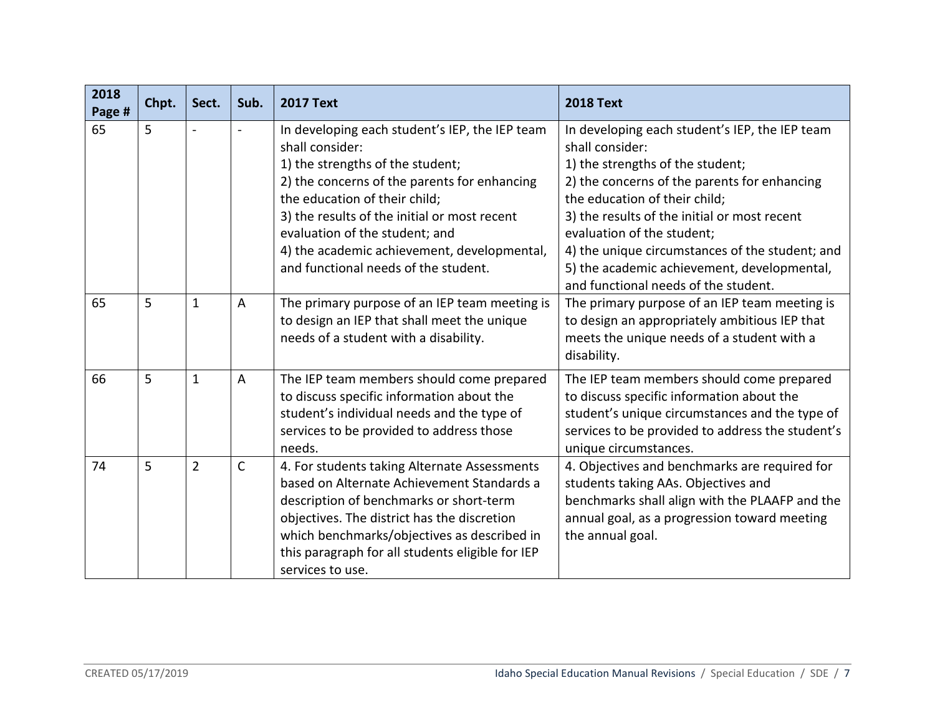| 2018<br>Page # | Chpt. | Sect.          | Sub.           | <b>2017 Text</b>                                                                                                                                                                                                                                                                                                                                                | <b>2018 Text</b>                                                                                                                                                                                                                                                                                                                                                                                               |
|----------------|-------|----------------|----------------|-----------------------------------------------------------------------------------------------------------------------------------------------------------------------------------------------------------------------------------------------------------------------------------------------------------------------------------------------------------------|----------------------------------------------------------------------------------------------------------------------------------------------------------------------------------------------------------------------------------------------------------------------------------------------------------------------------------------------------------------------------------------------------------------|
| 65             | 5     |                | $\blacksquare$ | In developing each student's IEP, the IEP team<br>shall consider:<br>1) the strengths of the student;<br>2) the concerns of the parents for enhancing<br>the education of their child;<br>3) the results of the initial or most recent<br>evaluation of the student; and<br>4) the academic achievement, developmental,<br>and functional needs of the student. | In developing each student's IEP, the IEP team<br>shall consider:<br>1) the strengths of the student;<br>2) the concerns of the parents for enhancing<br>the education of their child;<br>3) the results of the initial or most recent<br>evaluation of the student;<br>4) the unique circumstances of the student; and<br>5) the academic achievement, developmental,<br>and functional needs of the student. |
| 65             | 5     | $\mathbf{1}$   | $\overline{A}$ | The primary purpose of an IEP team meeting is<br>to design an IEP that shall meet the unique<br>needs of a student with a disability.                                                                                                                                                                                                                           | The primary purpose of an IEP team meeting is<br>to design an appropriately ambitious IEP that<br>meets the unique needs of a student with a<br>disability.                                                                                                                                                                                                                                                    |
| 66             | 5     | $\mathbf{1}$   | $\overline{A}$ | The IEP team members should come prepared<br>to discuss specific information about the<br>student's individual needs and the type of<br>services to be provided to address those<br>needs.                                                                                                                                                                      | The IEP team members should come prepared<br>to discuss specific information about the<br>student's unique circumstances and the type of<br>services to be provided to address the student's<br>unique circumstances.                                                                                                                                                                                          |
| 74             | 5     | $\overline{2}$ | $\mathsf{C}$   | 4. For students taking Alternate Assessments<br>based on Alternate Achievement Standards a<br>description of benchmarks or short-term<br>objectives. The district has the discretion<br>which benchmarks/objectives as described in<br>this paragraph for all students eligible for IEP<br>services to use.                                                     | 4. Objectives and benchmarks are required for<br>students taking AAs. Objectives and<br>benchmarks shall align with the PLAAFP and the<br>annual goal, as a progression toward meeting<br>the annual goal.                                                                                                                                                                                                     |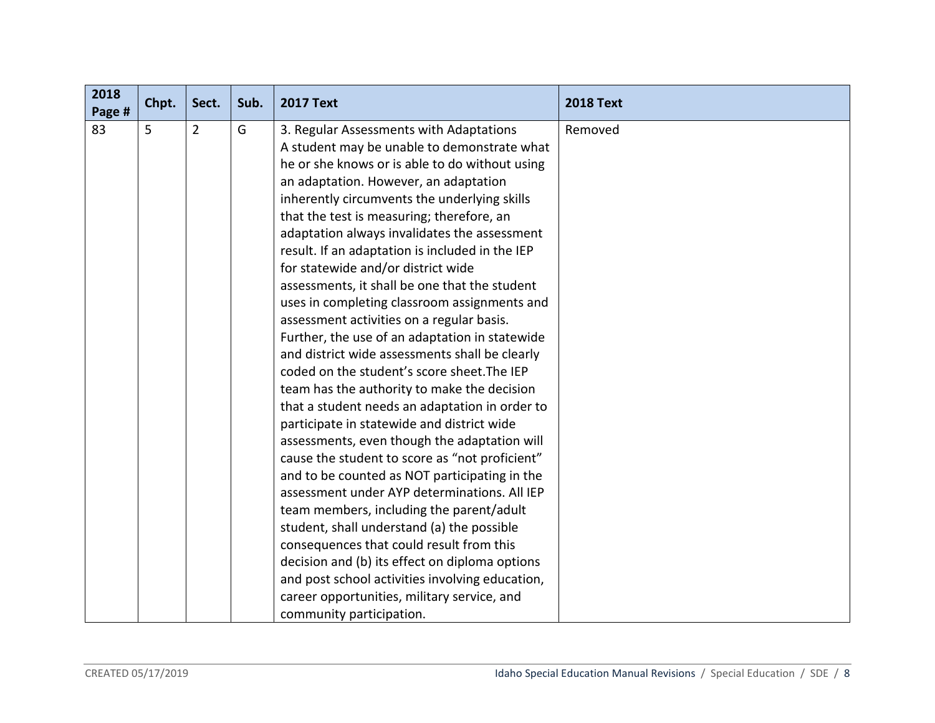| 2018<br>Page # | Chpt. | Sect.          | Sub. | <b>2017 Text</b>                                | <b>2018 Text</b> |
|----------------|-------|----------------|------|-------------------------------------------------|------------------|
| 83             | 5     | $\overline{2}$ | G    | 3. Regular Assessments with Adaptations         | Removed          |
|                |       |                |      | A student may be unable to demonstrate what     |                  |
|                |       |                |      | he or she knows or is able to do without using  |                  |
|                |       |                |      | an adaptation. However, an adaptation           |                  |
|                |       |                |      | inherently circumvents the underlying skills    |                  |
|                |       |                |      | that the test is measuring; therefore, an       |                  |
|                |       |                |      | adaptation always invalidates the assessment    |                  |
|                |       |                |      | result. If an adaptation is included in the IEP |                  |
|                |       |                |      | for statewide and/or district wide              |                  |
|                |       |                |      | assessments, it shall be one that the student   |                  |
|                |       |                |      | uses in completing classroom assignments and    |                  |
|                |       |                |      | assessment activities on a regular basis.       |                  |
|                |       |                |      | Further, the use of an adaptation in statewide  |                  |
|                |       |                |      | and district wide assessments shall be clearly  |                  |
|                |       |                |      | coded on the student's score sheet. The IEP     |                  |
|                |       |                |      | team has the authority to make the decision     |                  |
|                |       |                |      | that a student needs an adaptation in order to  |                  |
|                |       |                |      | participate in statewide and district wide      |                  |
|                |       |                |      | assessments, even though the adaptation will    |                  |
|                |       |                |      | cause the student to score as "not proficient"  |                  |
|                |       |                |      | and to be counted as NOT participating in the   |                  |
|                |       |                |      | assessment under AYP determinations. All IEP    |                  |
|                |       |                |      | team members, including the parent/adult        |                  |
|                |       |                |      | student, shall understand (a) the possible      |                  |
|                |       |                |      | consequences that could result from this        |                  |
|                |       |                |      | decision and (b) its effect on diploma options  |                  |
|                |       |                |      | and post school activities involving education, |                  |
|                |       |                |      | career opportunities, military service, and     |                  |
|                |       |                |      | community participation.                        |                  |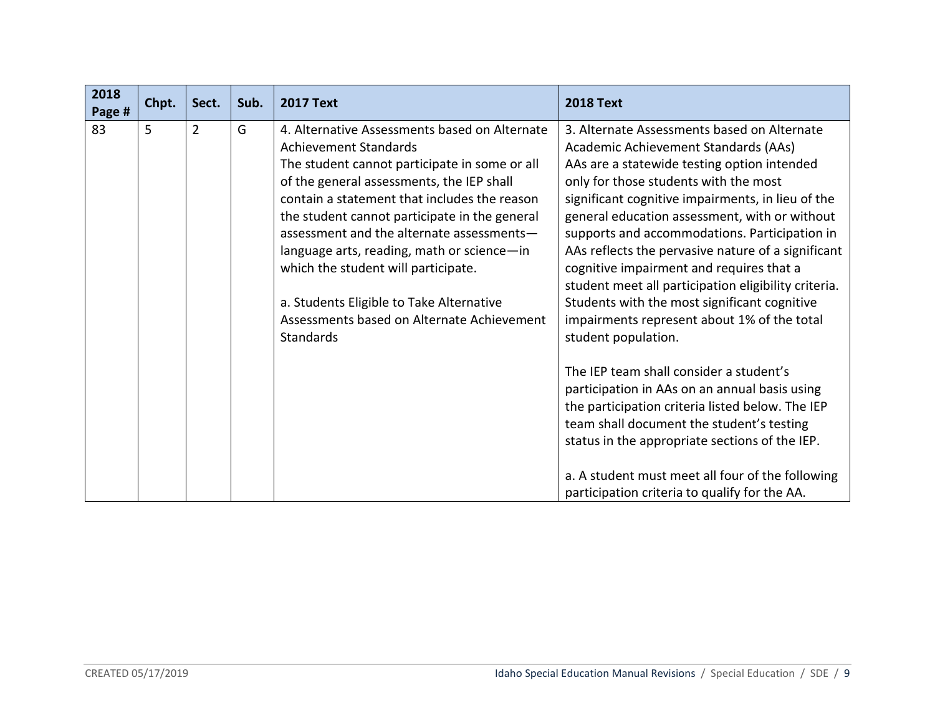| 2018<br>Page # | Chpt. | Sect.          | Sub. | <b>2017 Text</b>                                                                                                                                                                                                                                                                                                                                                        | <b>2018 Text</b>                                                                                                                                                                                                                                                                                                                                                                         |
|----------------|-------|----------------|------|-------------------------------------------------------------------------------------------------------------------------------------------------------------------------------------------------------------------------------------------------------------------------------------------------------------------------------------------------------------------------|------------------------------------------------------------------------------------------------------------------------------------------------------------------------------------------------------------------------------------------------------------------------------------------------------------------------------------------------------------------------------------------|
| 83             | 5     | $\overline{2}$ | G    | 4. Alternative Assessments based on Alternate<br><b>Achievement Standards</b><br>The student cannot participate in some or all<br>of the general assessments, the IEP shall<br>contain a statement that includes the reason<br>the student cannot participate in the general<br>assessment and the alternate assessments-<br>language arts, reading, math or science-in | 3. Alternate Assessments based on Alternate<br>Academic Achievement Standards (AAs)<br>AAs are a statewide testing option intended<br>only for those students with the most<br>significant cognitive impairments, in lieu of the<br>general education assessment, with or without<br>supports and accommodations. Participation in<br>AAs reflects the pervasive nature of a significant |
|                |       |                |      | which the student will participate.<br>a. Students Eligible to Take Alternative<br>Assessments based on Alternate Achievement<br><b>Standards</b>                                                                                                                                                                                                                       | cognitive impairment and requires that a<br>student meet all participation eligibility criteria.<br>Students with the most significant cognitive<br>impairments represent about 1% of the total<br>student population.                                                                                                                                                                   |
|                |       |                |      |                                                                                                                                                                                                                                                                                                                                                                         | The IEP team shall consider a student's<br>participation in AAs on an annual basis using<br>the participation criteria listed below. The IEP<br>team shall document the student's testing<br>status in the appropriate sections of the IEP.<br>a. A student must meet all four of the following                                                                                          |
|                |       |                |      |                                                                                                                                                                                                                                                                                                                                                                         | participation criteria to qualify for the AA.                                                                                                                                                                                                                                                                                                                                            |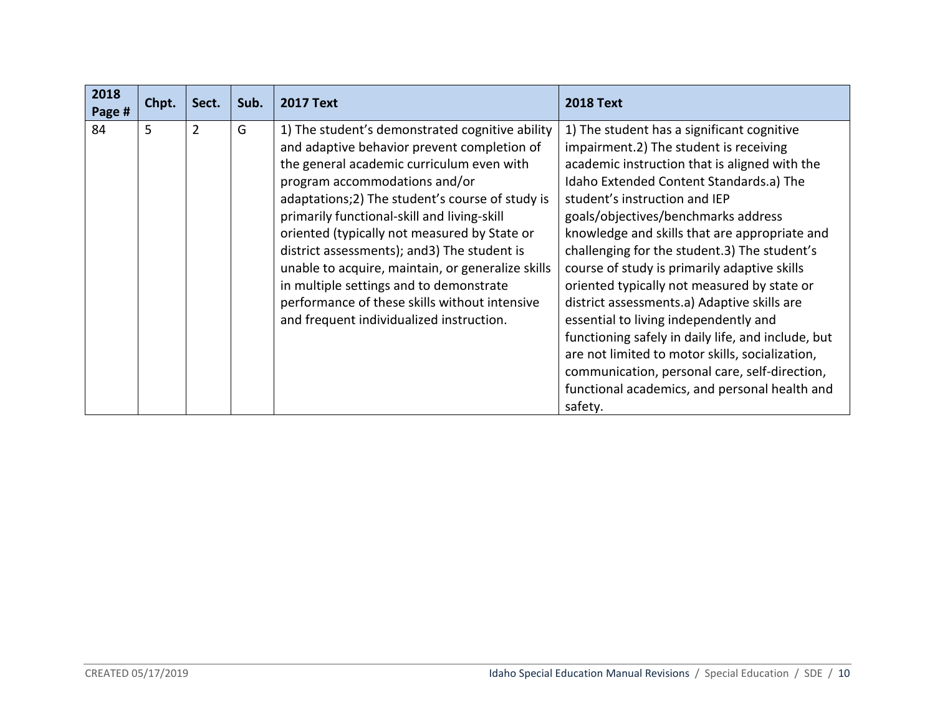| 2018<br>Page # | Chpt. | Sect.          | Sub. | <b>2017 Text</b>                                                                                                                                                                                                                                                                                                                                                                                                                                                                                                                 | <b>2018 Text</b>                                                                                                                                                                                                                                                                                                                                                                                                                                                                                        |
|----------------|-------|----------------|------|----------------------------------------------------------------------------------------------------------------------------------------------------------------------------------------------------------------------------------------------------------------------------------------------------------------------------------------------------------------------------------------------------------------------------------------------------------------------------------------------------------------------------------|---------------------------------------------------------------------------------------------------------------------------------------------------------------------------------------------------------------------------------------------------------------------------------------------------------------------------------------------------------------------------------------------------------------------------------------------------------------------------------------------------------|
| 84             | 5     | $\overline{2}$ | G    | 1) The student's demonstrated cognitive ability<br>and adaptive behavior prevent completion of<br>the general academic curriculum even with<br>program accommodations and/or<br>adaptations; 2) The student's course of study is<br>primarily functional-skill and living-skill<br>oriented (typically not measured by State or<br>district assessments); and 3) The student is<br>unable to acquire, maintain, or generalize skills<br>in multiple settings and to demonstrate<br>performance of these skills without intensive | 1) The student has a significant cognitive<br>impairment.2) The student is receiving<br>academic instruction that is aligned with the<br>Idaho Extended Content Standards.a) The<br>student's instruction and IEP<br>goals/objectives/benchmarks address<br>knowledge and skills that are appropriate and<br>challenging for the student.3) The student's<br>course of study is primarily adaptive skills<br>oriented typically not measured by state or<br>district assessments.a) Adaptive skills are |
|                |       |                |      | and frequent individualized instruction.                                                                                                                                                                                                                                                                                                                                                                                                                                                                                         | essential to living independently and<br>functioning safely in daily life, and include, but<br>are not limited to motor skills, socialization,<br>communication, personal care, self-direction,<br>functional academics, and personal health and<br>safety.                                                                                                                                                                                                                                             |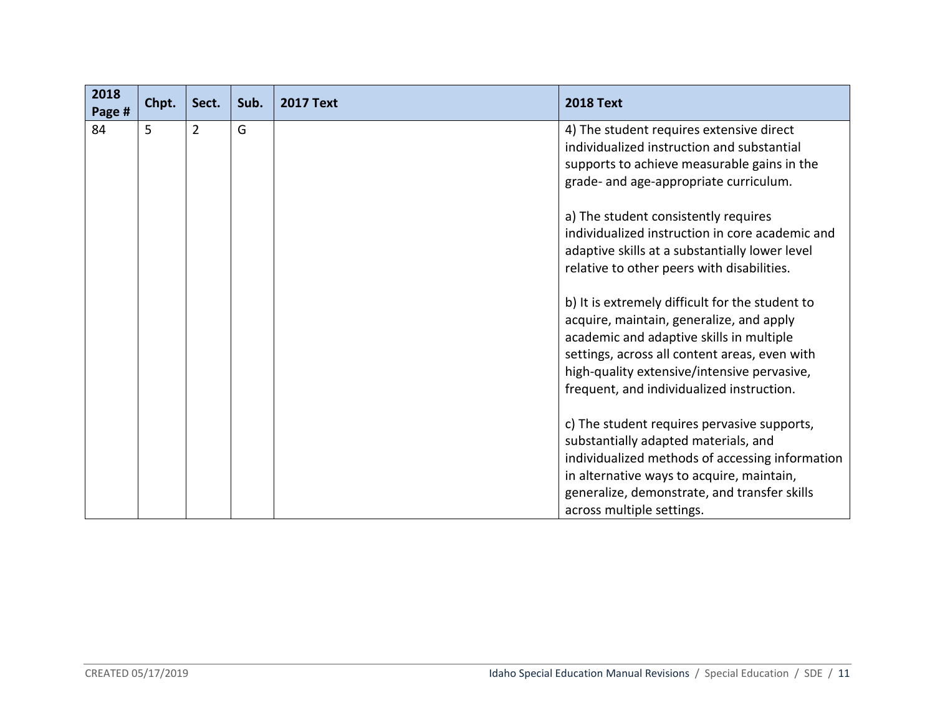| 2018<br>Page # | Chpt. | Sect.          | Sub. | <b>2017 Text</b> | <b>2018 Text</b>                                                                                                                                                                                                                                                                     |
|----------------|-------|----------------|------|------------------|--------------------------------------------------------------------------------------------------------------------------------------------------------------------------------------------------------------------------------------------------------------------------------------|
| 84             | 5     | $\overline{2}$ | G    |                  | 4) The student requires extensive direct<br>individualized instruction and substantial<br>supports to achieve measurable gains in the<br>grade- and age-appropriate curriculum.                                                                                                      |
|                |       |                |      |                  | a) The student consistently requires<br>individualized instruction in core academic and<br>adaptive skills at a substantially lower level<br>relative to other peers with disabilities.                                                                                              |
|                |       |                |      |                  | b) It is extremely difficult for the student to<br>acquire, maintain, generalize, and apply<br>academic and adaptive skills in multiple<br>settings, across all content areas, even with<br>high-quality extensive/intensive pervasive,<br>frequent, and individualized instruction. |
|                |       |                |      |                  | c) The student requires pervasive supports,<br>substantially adapted materials, and<br>individualized methods of accessing information<br>in alternative ways to acquire, maintain,<br>generalize, demonstrate, and transfer skills<br>across multiple settings.                     |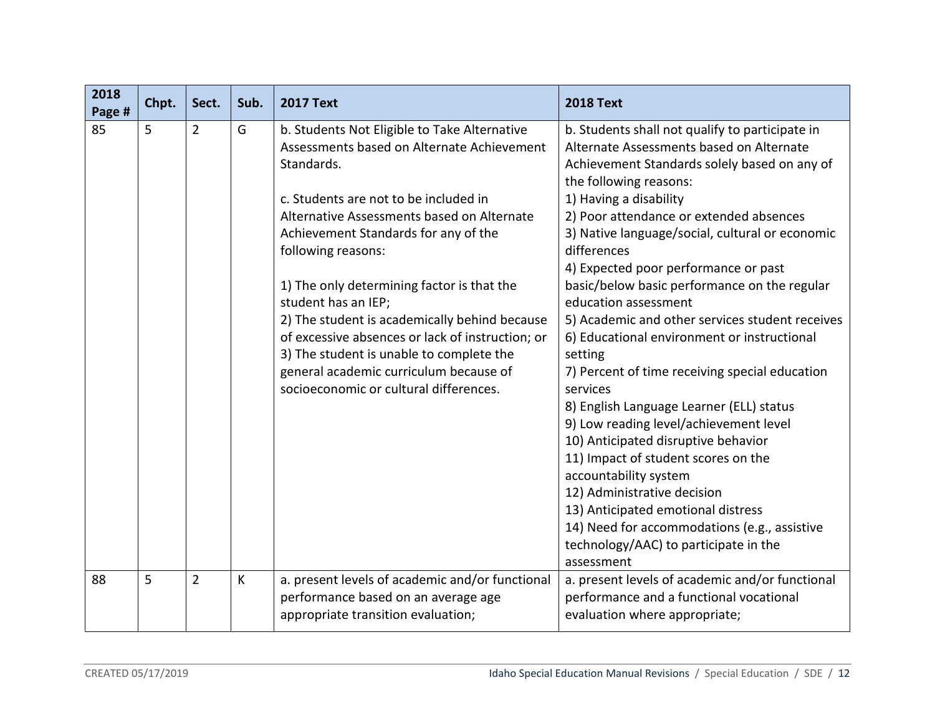| 2018<br>Page # | Chpt. | Sect.          | Sub. | <b>2017 Text</b>                                                                                                                                                                                                                                                                                                                                                                                                                                                                                                                                                        | <b>2018 Text</b>                                                                                                                                                                                                                                                                                                                                                                                                                                                                                                                                                                                                                                                                                                                                                                                                                                                                                                                                                                 |
|----------------|-------|----------------|------|-------------------------------------------------------------------------------------------------------------------------------------------------------------------------------------------------------------------------------------------------------------------------------------------------------------------------------------------------------------------------------------------------------------------------------------------------------------------------------------------------------------------------------------------------------------------------|----------------------------------------------------------------------------------------------------------------------------------------------------------------------------------------------------------------------------------------------------------------------------------------------------------------------------------------------------------------------------------------------------------------------------------------------------------------------------------------------------------------------------------------------------------------------------------------------------------------------------------------------------------------------------------------------------------------------------------------------------------------------------------------------------------------------------------------------------------------------------------------------------------------------------------------------------------------------------------|
| 85             | 5     | $\overline{2}$ | G    | b. Students Not Eligible to Take Alternative<br>Assessments based on Alternate Achievement<br>Standards.<br>c. Students are not to be included in<br>Alternative Assessments based on Alternate<br>Achievement Standards for any of the<br>following reasons:<br>1) The only determining factor is that the<br>student has an IEP;<br>2) The student is academically behind because<br>of excessive absences or lack of instruction; or<br>3) The student is unable to complete the<br>general academic curriculum because of<br>socioeconomic or cultural differences. | b. Students shall not qualify to participate in<br>Alternate Assessments based on Alternate<br>Achievement Standards solely based on any of<br>the following reasons:<br>1) Having a disability<br>2) Poor attendance or extended absences<br>3) Native language/social, cultural or economic<br>differences<br>4) Expected poor performance or past<br>basic/below basic performance on the regular<br>education assessment<br>5) Academic and other services student receives<br>6) Educational environment or instructional<br>setting<br>7) Percent of time receiving special education<br>services<br>8) English Language Learner (ELL) status<br>9) Low reading level/achievement level<br>10) Anticipated disruptive behavior<br>11) Impact of student scores on the<br>accountability system<br>12) Administrative decision<br>13) Anticipated emotional distress<br>14) Need for accommodations (e.g., assistive<br>technology/AAC) to participate in the<br>assessment |
| 88             | 5     | $\overline{2}$ | К    | a. present levels of academic and/or functional<br>performance based on an average age<br>appropriate transition evaluation;                                                                                                                                                                                                                                                                                                                                                                                                                                            | a. present levels of academic and/or functional<br>performance and a functional vocational<br>evaluation where appropriate;                                                                                                                                                                                                                                                                                                                                                                                                                                                                                                                                                                                                                                                                                                                                                                                                                                                      |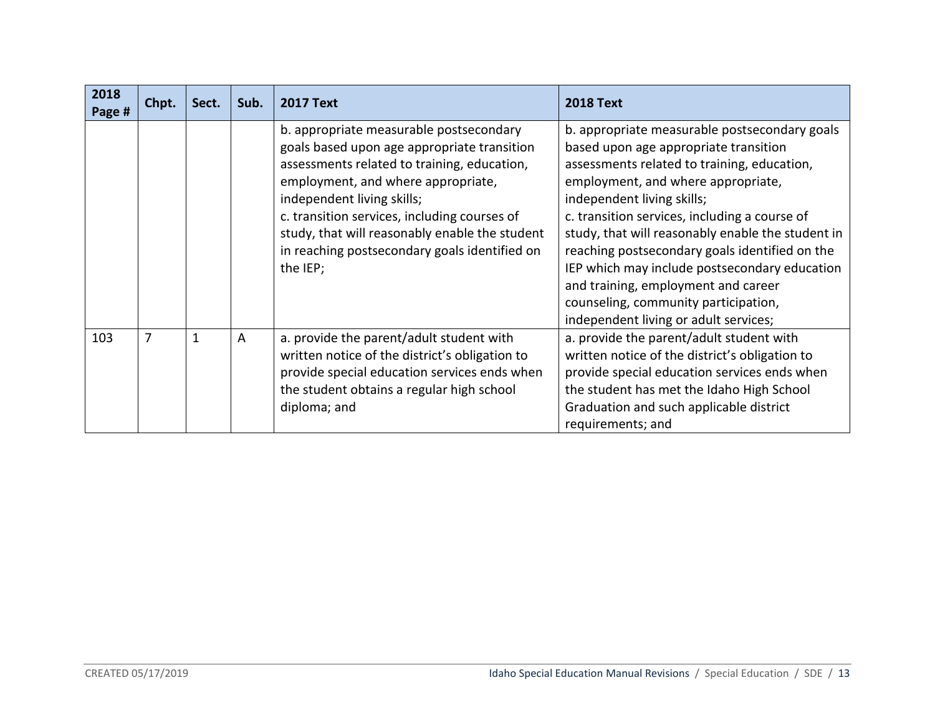| 2018<br>Page # | Chpt.          | Sect. | Sub.           | <b>2017 Text</b>                                                                                                                                                                                                                                                                                                                                                         | <b>2018 Text</b>                                                                                                                                                                                                                                                                                                                                                                                                                                                                                                                           |
|----------------|----------------|-------|----------------|--------------------------------------------------------------------------------------------------------------------------------------------------------------------------------------------------------------------------------------------------------------------------------------------------------------------------------------------------------------------------|--------------------------------------------------------------------------------------------------------------------------------------------------------------------------------------------------------------------------------------------------------------------------------------------------------------------------------------------------------------------------------------------------------------------------------------------------------------------------------------------------------------------------------------------|
|                |                |       |                | b. appropriate measurable postsecondary<br>goals based upon age appropriate transition<br>assessments related to training, education,<br>employment, and where appropriate,<br>independent living skills;<br>c. transition services, including courses of<br>study, that will reasonably enable the student<br>in reaching postsecondary goals identified on<br>the IEP; | b. appropriate measurable postsecondary goals<br>based upon age appropriate transition<br>assessments related to training, education,<br>employment, and where appropriate,<br>independent living skills;<br>c. transition services, including a course of<br>study, that will reasonably enable the student in<br>reaching postsecondary goals identified on the<br>IEP which may include postsecondary education<br>and training, employment and career<br>counseling, community participation,<br>independent living or adult services; |
| 103            | $\overline{7}$ | 1     | $\overline{A}$ | a. provide the parent/adult student with<br>written notice of the district's obligation to<br>provide special education services ends when<br>the student obtains a regular high school<br>diploma; and                                                                                                                                                                  | a. provide the parent/adult student with<br>written notice of the district's obligation to<br>provide special education services ends when<br>the student has met the Idaho High School<br>Graduation and such applicable district<br>requirements; and                                                                                                                                                                                                                                                                                    |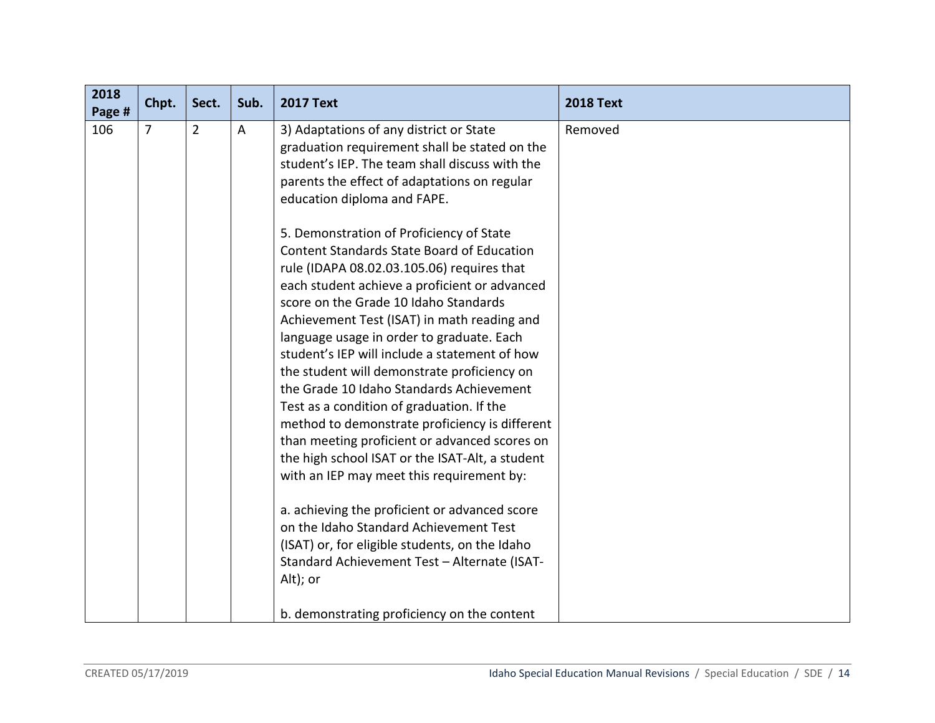| 2018<br>Page # | Chpt. | Sect.          | Sub. | <b>2017 Text</b>                                                                                                                                                                                                                                                                                                                                                                                                                                                                                                                                                                                                                                                                                                                                                                                                                                                                                                                                                                                                                                                                                                                                                                                                   | <b>2018 Text</b> |
|----------------|-------|----------------|------|--------------------------------------------------------------------------------------------------------------------------------------------------------------------------------------------------------------------------------------------------------------------------------------------------------------------------------------------------------------------------------------------------------------------------------------------------------------------------------------------------------------------------------------------------------------------------------------------------------------------------------------------------------------------------------------------------------------------------------------------------------------------------------------------------------------------------------------------------------------------------------------------------------------------------------------------------------------------------------------------------------------------------------------------------------------------------------------------------------------------------------------------------------------------------------------------------------------------|------------------|
| 106            | 7     | $\overline{2}$ | A    | 3) Adaptations of any district or State<br>graduation requirement shall be stated on the<br>student's IEP. The team shall discuss with the<br>parents the effect of adaptations on regular<br>education diploma and FAPE.<br>5. Demonstration of Proficiency of State<br><b>Content Standards State Board of Education</b><br>rule (IDAPA 08.02.03.105.06) requires that<br>each student achieve a proficient or advanced<br>score on the Grade 10 Idaho Standards<br>Achievement Test (ISAT) in math reading and<br>language usage in order to graduate. Each<br>student's IEP will include a statement of how<br>the student will demonstrate proficiency on<br>the Grade 10 Idaho Standards Achievement<br>Test as a condition of graduation. If the<br>method to demonstrate proficiency is different<br>than meeting proficient or advanced scores on<br>the high school ISAT or the ISAT-Alt, a student<br>with an IEP may meet this requirement by:<br>a. achieving the proficient or advanced score<br>on the Idaho Standard Achievement Test<br>(ISAT) or, for eligible students, on the Idaho<br>Standard Achievement Test - Alternate (ISAT-<br>Alt); or<br>b. demonstrating proficiency on the content | Removed          |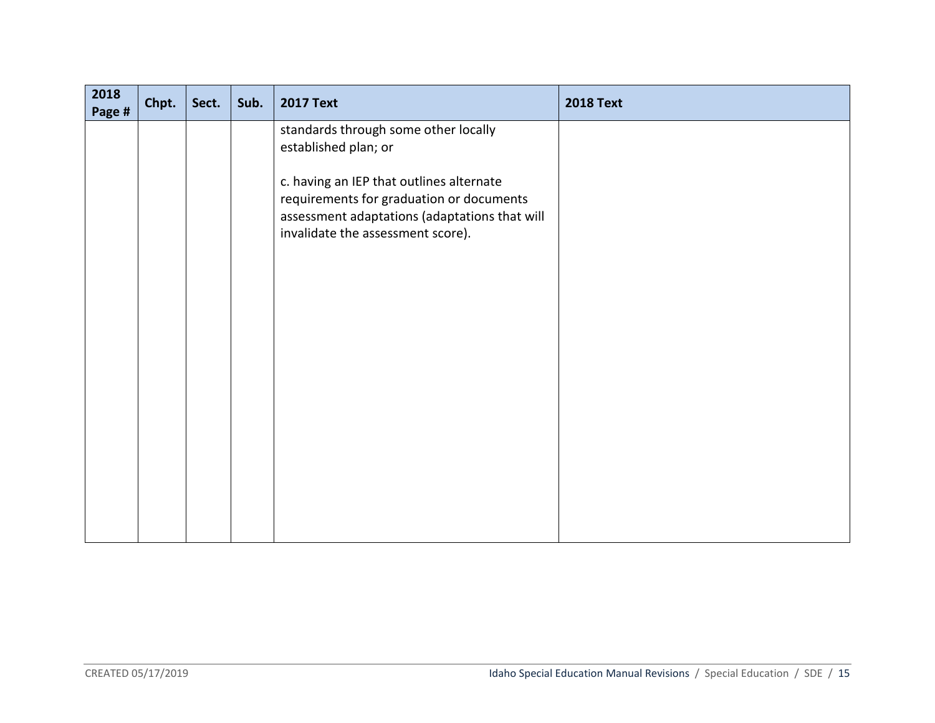| 2018<br>Page # | Chpt. | Sect. | Sub. | <b>2017 Text</b>                                                                                                                                                           | <b>2018 Text</b> |
|----------------|-------|-------|------|----------------------------------------------------------------------------------------------------------------------------------------------------------------------------|------------------|
|                |       |       |      | standards through some other locally<br>established plan; or                                                                                                               |                  |
|                |       |       |      | c. having an IEP that outlines alternate<br>requirements for graduation or documents<br>assessment adaptations (adaptations that will<br>invalidate the assessment score). |                  |
|                |       |       |      |                                                                                                                                                                            |                  |
|                |       |       |      |                                                                                                                                                                            |                  |
|                |       |       |      |                                                                                                                                                                            |                  |
|                |       |       |      |                                                                                                                                                                            |                  |
|                |       |       |      |                                                                                                                                                                            |                  |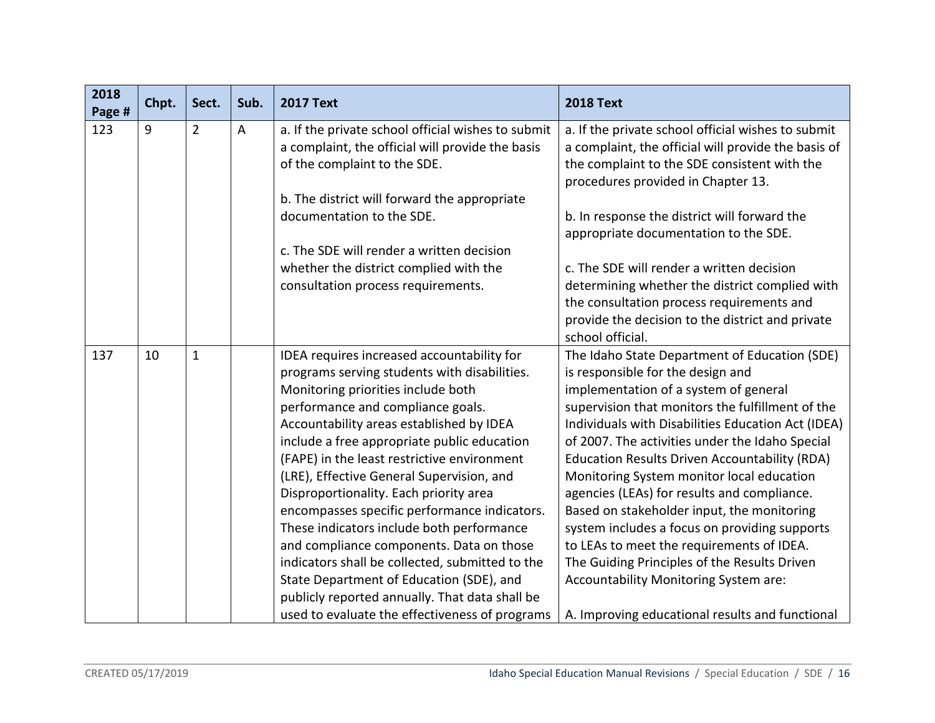| 2018<br>Page # | Chpt. | Sect.          | Sub.           | <b>2017 Text</b>                                                                                                                                                                                                                                                                                                                                                                                                                                                                                                                                                                                                                                                                                                                                   | <b>2018 Text</b>                                                                                                                                                                                                                                                                                                                                                                                                                                                                                                                                                                                                                                                                                                                     |
|----------------|-------|----------------|----------------|----------------------------------------------------------------------------------------------------------------------------------------------------------------------------------------------------------------------------------------------------------------------------------------------------------------------------------------------------------------------------------------------------------------------------------------------------------------------------------------------------------------------------------------------------------------------------------------------------------------------------------------------------------------------------------------------------------------------------------------------------|--------------------------------------------------------------------------------------------------------------------------------------------------------------------------------------------------------------------------------------------------------------------------------------------------------------------------------------------------------------------------------------------------------------------------------------------------------------------------------------------------------------------------------------------------------------------------------------------------------------------------------------------------------------------------------------------------------------------------------------|
| 123            | 9     | $\overline{2}$ | $\overline{A}$ | a. If the private school official wishes to submit<br>a complaint, the official will provide the basis<br>of the complaint to the SDE.<br>b. The district will forward the appropriate<br>documentation to the SDE.                                                                                                                                                                                                                                                                                                                                                                                                                                                                                                                                | a. If the private school official wishes to submit<br>a complaint, the official will provide the basis of<br>the complaint to the SDE consistent with the<br>procedures provided in Chapter 13.<br>b. In response the district will forward the                                                                                                                                                                                                                                                                                                                                                                                                                                                                                      |
|                |       |                |                | c. The SDE will render a written decision                                                                                                                                                                                                                                                                                                                                                                                                                                                                                                                                                                                                                                                                                                          | appropriate documentation to the SDE.                                                                                                                                                                                                                                                                                                                                                                                                                                                                                                                                                                                                                                                                                                |
|                |       |                |                | whether the district complied with the<br>consultation process requirements.                                                                                                                                                                                                                                                                                                                                                                                                                                                                                                                                                                                                                                                                       | c. The SDE will render a written decision<br>determining whether the district complied with<br>the consultation process requirements and<br>provide the decision to the district and private<br>school official.                                                                                                                                                                                                                                                                                                                                                                                                                                                                                                                     |
| 137            | 10    | $\mathbf{1}$   |                | IDEA requires increased accountability for<br>programs serving students with disabilities.<br>Monitoring priorities include both<br>performance and compliance goals.<br>Accountability areas established by IDEA<br>include a free appropriate public education<br>(FAPE) in the least restrictive environment<br>(LRE), Effective General Supervision, and<br>Disproportionality. Each priority area<br>encompasses specific performance indicators.<br>These indicators include both performance<br>and compliance components. Data on those<br>indicators shall be collected, submitted to the<br>State Department of Education (SDE), and<br>publicly reported annually. That data shall be<br>used to evaluate the effectiveness of programs | The Idaho State Department of Education (SDE)<br>is responsible for the design and<br>implementation of a system of general<br>supervision that monitors the fulfillment of the<br>Individuals with Disabilities Education Act (IDEA)<br>of 2007. The activities under the Idaho Special<br><b>Education Results Driven Accountability (RDA)</b><br>Monitoring System monitor local education<br>agencies (LEAs) for results and compliance.<br>Based on stakeholder input, the monitoring<br>system includes a focus on providing supports<br>to LEAs to meet the requirements of IDEA.<br>The Guiding Principles of the Results Driven<br>Accountability Monitoring System are:<br>A. Improving educational results and functional |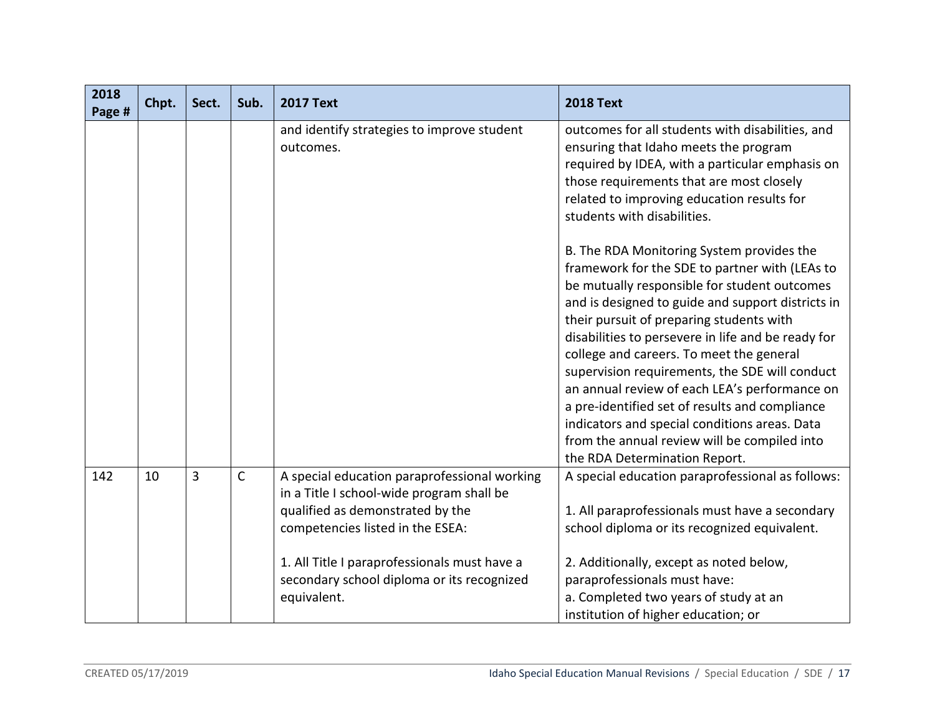| 2018<br>Page # | Chpt. | Sect. | Sub.         | <b>2017 Text</b>                                                                                                                                                  | <b>2018 Text</b>                                                                                                                                                                                                                                                                                                                                                                                                                                                                                                                                                                                     |
|----------------|-------|-------|--------------|-------------------------------------------------------------------------------------------------------------------------------------------------------------------|------------------------------------------------------------------------------------------------------------------------------------------------------------------------------------------------------------------------------------------------------------------------------------------------------------------------------------------------------------------------------------------------------------------------------------------------------------------------------------------------------------------------------------------------------------------------------------------------------|
|                |       |       |              | and identify strategies to improve student<br>outcomes.                                                                                                           | outcomes for all students with disabilities, and<br>ensuring that Idaho meets the program<br>required by IDEA, with a particular emphasis on<br>those requirements that are most closely<br>related to improving education results for<br>students with disabilities.                                                                                                                                                                                                                                                                                                                                |
|                |       |       |              |                                                                                                                                                                   | B. The RDA Monitoring System provides the<br>framework for the SDE to partner with (LEAs to<br>be mutually responsible for student outcomes<br>and is designed to guide and support districts in<br>their pursuit of preparing students with<br>disabilities to persevere in life and be ready for<br>college and careers. To meet the general<br>supervision requirements, the SDE will conduct<br>an annual review of each LEA's performance on<br>a pre-identified set of results and compliance<br>indicators and special conditions areas. Data<br>from the annual review will be compiled into |
| 142            | 10    | 3     | $\mathsf{C}$ | A special education paraprofessional working<br>in a Title I school-wide program shall be<br>qualified as demonstrated by the<br>competencies listed in the ESEA: | the RDA Determination Report.<br>A special education paraprofessional as follows:<br>1. All paraprofessionals must have a secondary<br>school diploma or its recognized equivalent.                                                                                                                                                                                                                                                                                                                                                                                                                  |
|                |       |       |              | 1. All Title I paraprofessionals must have a<br>secondary school diploma or its recognized<br>equivalent.                                                         | 2. Additionally, except as noted below,<br>paraprofessionals must have:<br>a. Completed two years of study at an<br>institution of higher education; or                                                                                                                                                                                                                                                                                                                                                                                                                                              |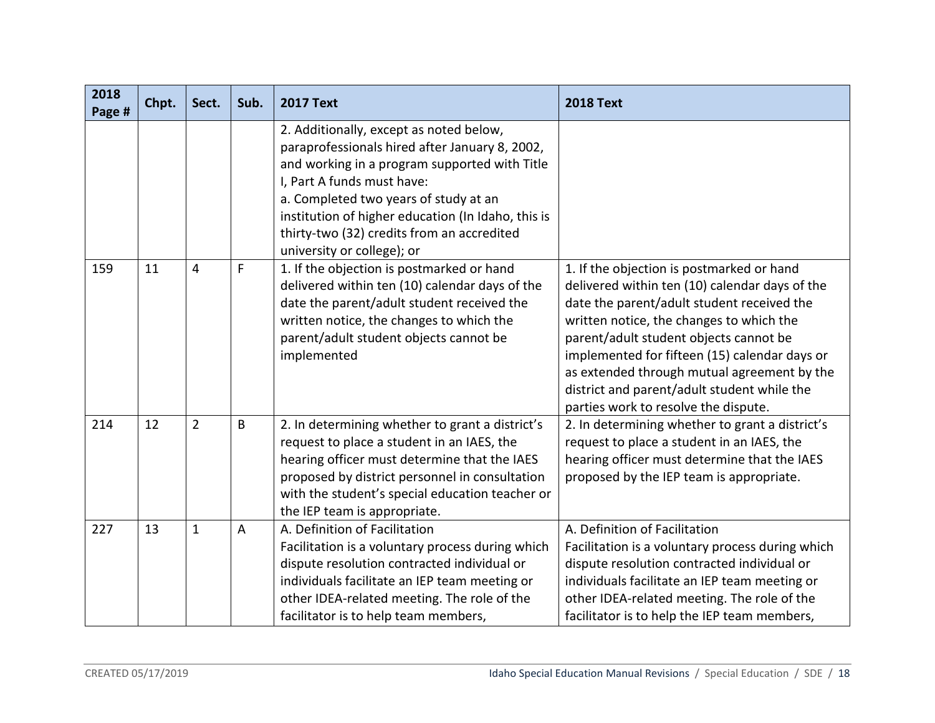| 2018<br>Page # | Chpt. | Sect.          | Sub. | <b>2017 Text</b>                                                                                                                                                                                                                                                                                                                                    | <b>2018 Text</b>                                                                                                                                                                                                                                                                                                                                                                                                       |
|----------------|-------|----------------|------|-----------------------------------------------------------------------------------------------------------------------------------------------------------------------------------------------------------------------------------------------------------------------------------------------------------------------------------------------------|------------------------------------------------------------------------------------------------------------------------------------------------------------------------------------------------------------------------------------------------------------------------------------------------------------------------------------------------------------------------------------------------------------------------|
|                |       |                |      | 2. Additionally, except as noted below,<br>paraprofessionals hired after January 8, 2002,<br>and working in a program supported with Title<br>I, Part A funds must have:<br>a. Completed two years of study at an<br>institution of higher education (In Idaho, this is<br>thirty-two (32) credits from an accredited<br>university or college); or |                                                                                                                                                                                                                                                                                                                                                                                                                        |
| 159            | 11    | 4              | F    | 1. If the objection is postmarked or hand<br>delivered within ten (10) calendar days of the<br>date the parent/adult student received the<br>written notice, the changes to which the<br>parent/adult student objects cannot be<br>implemented                                                                                                      | 1. If the objection is postmarked or hand<br>delivered within ten (10) calendar days of the<br>date the parent/adult student received the<br>written notice, the changes to which the<br>parent/adult student objects cannot be<br>implemented for fifteen (15) calendar days or<br>as extended through mutual agreement by the<br>district and parent/adult student while the<br>parties work to resolve the dispute. |
| 214            | 12    | $\overline{2}$ | B    | 2. In determining whether to grant a district's<br>request to place a student in an IAES, the<br>hearing officer must determine that the IAES<br>proposed by district personnel in consultation<br>with the student's special education teacher or<br>the IEP team is appropriate.                                                                  | 2. In determining whether to grant a district's<br>request to place a student in an IAES, the<br>hearing officer must determine that the IAES<br>proposed by the IEP team is appropriate.                                                                                                                                                                                                                              |
| 227            | 13    | $\mathbf{1}$   | A    | A. Definition of Facilitation<br>Facilitation is a voluntary process during which<br>dispute resolution contracted individual or<br>individuals facilitate an IEP team meeting or<br>other IDEA-related meeting. The role of the<br>facilitator is to help team members,                                                                            | A. Definition of Facilitation<br>Facilitation is a voluntary process during which<br>dispute resolution contracted individual or<br>individuals facilitate an IEP team meeting or<br>other IDEA-related meeting. The role of the<br>facilitator is to help the IEP team members,                                                                                                                                       |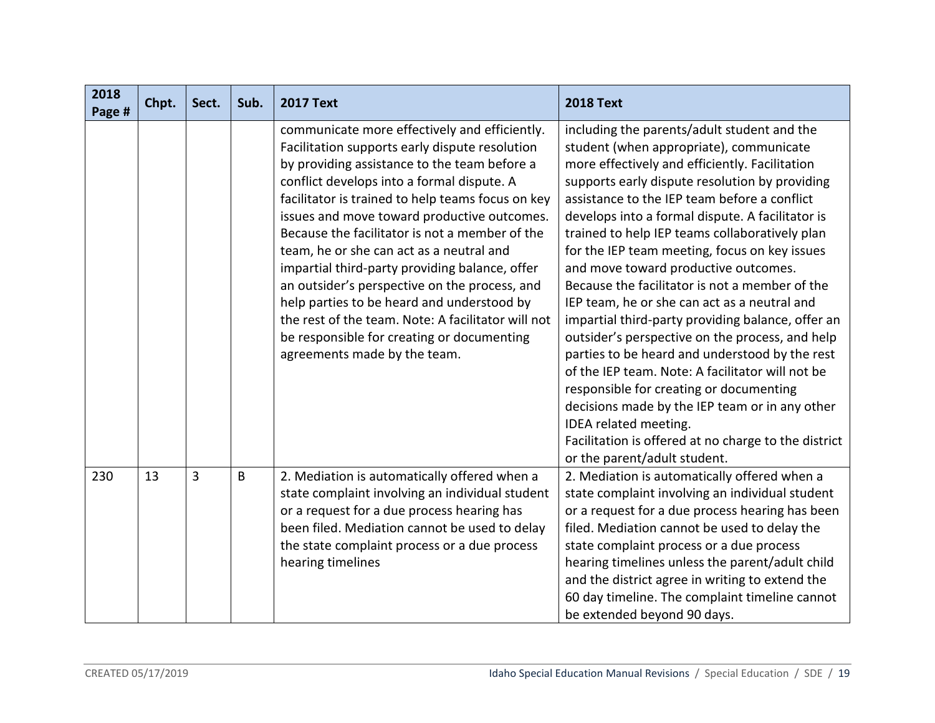| 2018<br>Page # | Chpt. | Sect. | Sub. | <b>2017 Text</b>                                                                                                                                                                                                                                                                                                                                                                                                                                                                                                                                                                                                                                                                     | <b>2018 Text</b>                                                                                                                                                                                                                                                                                                                                                                                                                                                                                                                                                                                                                                                                                                                                                                                                                                                                                                                                                        |
|----------------|-------|-------|------|--------------------------------------------------------------------------------------------------------------------------------------------------------------------------------------------------------------------------------------------------------------------------------------------------------------------------------------------------------------------------------------------------------------------------------------------------------------------------------------------------------------------------------------------------------------------------------------------------------------------------------------------------------------------------------------|-------------------------------------------------------------------------------------------------------------------------------------------------------------------------------------------------------------------------------------------------------------------------------------------------------------------------------------------------------------------------------------------------------------------------------------------------------------------------------------------------------------------------------------------------------------------------------------------------------------------------------------------------------------------------------------------------------------------------------------------------------------------------------------------------------------------------------------------------------------------------------------------------------------------------------------------------------------------------|
|                |       |       |      | communicate more effectively and efficiently.<br>Facilitation supports early dispute resolution<br>by providing assistance to the team before a<br>conflict develops into a formal dispute. A<br>facilitator is trained to help teams focus on key<br>issues and move toward productive outcomes.<br>Because the facilitator is not a member of the<br>team, he or she can act as a neutral and<br>impartial third-party providing balance, offer<br>an outsider's perspective on the process, and<br>help parties to be heard and understood by<br>the rest of the team. Note: A facilitator will not<br>be responsible for creating or documenting<br>agreements made by the team. | including the parents/adult student and the<br>student (when appropriate), communicate<br>more effectively and efficiently. Facilitation<br>supports early dispute resolution by providing<br>assistance to the IEP team before a conflict<br>develops into a formal dispute. A facilitator is<br>trained to help IEP teams collaboratively plan<br>for the IEP team meeting, focus on key issues<br>and move toward productive outcomes.<br>Because the facilitator is not a member of the<br>IEP team, he or she can act as a neutral and<br>impartial third-party providing balance, offer an<br>outsider's perspective on the process, and help<br>parties to be heard and understood by the rest<br>of the IEP team. Note: A facilitator will not be<br>responsible for creating or documenting<br>decisions made by the IEP team or in any other<br>IDEA related meeting.<br>Facilitation is offered at no charge to the district<br>or the parent/adult student. |
| 230            | 13    | 3     | B    | 2. Mediation is automatically offered when a<br>state complaint involving an individual student<br>or a request for a due process hearing has<br>been filed. Mediation cannot be used to delay<br>the state complaint process or a due process<br>hearing timelines                                                                                                                                                                                                                                                                                                                                                                                                                  | 2. Mediation is automatically offered when a<br>state complaint involving an individual student<br>or a request for a due process hearing has been<br>filed. Mediation cannot be used to delay the<br>state complaint process or a due process<br>hearing timelines unless the parent/adult child<br>and the district agree in writing to extend the<br>60 day timeline. The complaint timeline cannot<br>be extended beyond 90 days.                                                                                                                                                                                                                                                                                                                                                                                                                                                                                                                                   |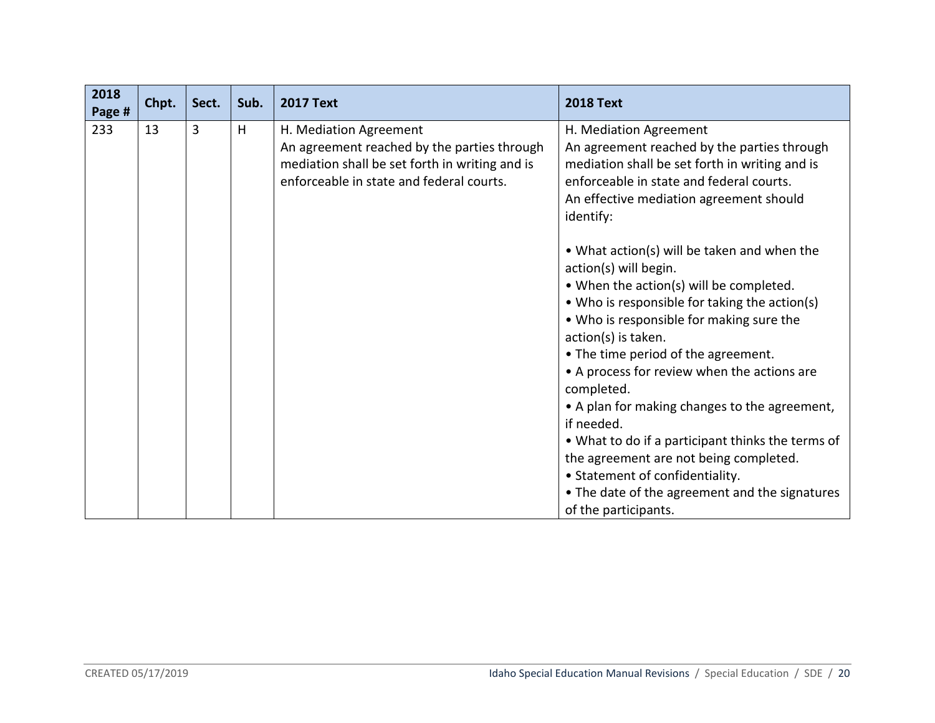| 2018<br>Page # | Chpt. | Sect. | Sub. | <b>2017 Text</b>                                                                                                                                                    | <b>2018 Text</b>                                                                                                                                                                                                                                                                                                                                                                                                                                                                                                                                                                                                                                                                                                                                                        |
|----------------|-------|-------|------|---------------------------------------------------------------------------------------------------------------------------------------------------------------------|-------------------------------------------------------------------------------------------------------------------------------------------------------------------------------------------------------------------------------------------------------------------------------------------------------------------------------------------------------------------------------------------------------------------------------------------------------------------------------------------------------------------------------------------------------------------------------------------------------------------------------------------------------------------------------------------------------------------------------------------------------------------------|
| 233            | 13    | 3     | H    | H. Mediation Agreement<br>An agreement reached by the parties through<br>mediation shall be set forth in writing and is<br>enforceable in state and federal courts. | H. Mediation Agreement<br>An agreement reached by the parties through<br>mediation shall be set forth in writing and is<br>enforceable in state and federal courts.<br>An effective mediation agreement should<br>identify:<br>• What action(s) will be taken and when the<br>action(s) will begin.<br>• When the action(s) will be completed.<br>• Who is responsible for taking the action(s)<br>• Who is responsible for making sure the<br>action(s) is taken.<br>• The time period of the agreement.<br>• A process for review when the actions are<br>completed.<br>• A plan for making changes to the agreement,<br>if needed.<br>• What to do if a participant thinks the terms of<br>the agreement are not being completed.<br>• Statement of confidentiality. |
|                |       |       |      |                                                                                                                                                                     | • The date of the agreement and the signatures<br>of the participants.                                                                                                                                                                                                                                                                                                                                                                                                                                                                                                                                                                                                                                                                                                  |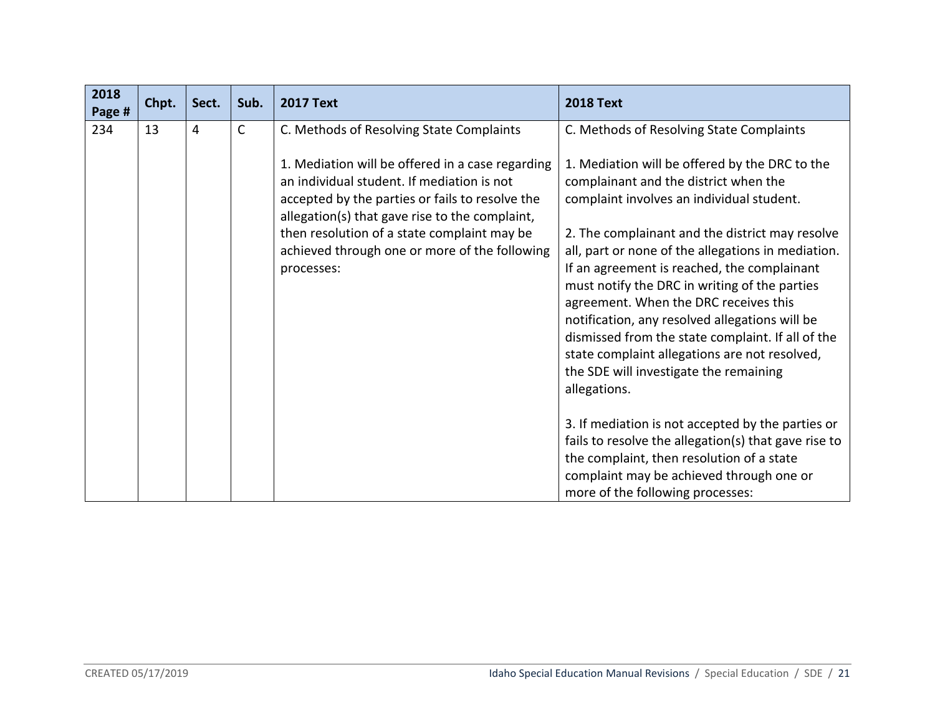| 2018<br>Page # | Chpt. | Sect. | Sub. | <b>2017 Text</b>                                                                                                                                                                                                                                                                                                  | <b>2018 Text</b>                                                                                                                                                                                                                                                                                                                                                                                                                                                                                                                                                                                         |
|----------------|-------|-------|------|-------------------------------------------------------------------------------------------------------------------------------------------------------------------------------------------------------------------------------------------------------------------------------------------------------------------|----------------------------------------------------------------------------------------------------------------------------------------------------------------------------------------------------------------------------------------------------------------------------------------------------------------------------------------------------------------------------------------------------------------------------------------------------------------------------------------------------------------------------------------------------------------------------------------------------------|
| 234            | 13    | 4     | C    | C. Methods of Resolving State Complaints                                                                                                                                                                                                                                                                          | C. Methods of Resolving State Complaints                                                                                                                                                                                                                                                                                                                                                                                                                                                                                                                                                                 |
|                |       |       |      | 1. Mediation will be offered in a case regarding<br>an individual student. If mediation is not<br>accepted by the parties or fails to resolve the<br>allegation(s) that gave rise to the complaint,<br>then resolution of a state complaint may be<br>achieved through one or more of the following<br>processes: | 1. Mediation will be offered by the DRC to the<br>complainant and the district when the<br>complaint involves an individual student.<br>2. The complainant and the district may resolve<br>all, part or none of the allegations in mediation.<br>If an agreement is reached, the complainant<br>must notify the DRC in writing of the parties<br>agreement. When the DRC receives this<br>notification, any resolved allegations will be<br>dismissed from the state complaint. If all of the<br>state complaint allegations are not resolved,<br>the SDE will investigate the remaining<br>allegations. |
|                |       |       |      |                                                                                                                                                                                                                                                                                                                   | 3. If mediation is not accepted by the parties or<br>fails to resolve the allegation(s) that gave rise to<br>the complaint, then resolution of a state<br>complaint may be achieved through one or<br>more of the following processes:                                                                                                                                                                                                                                                                                                                                                                   |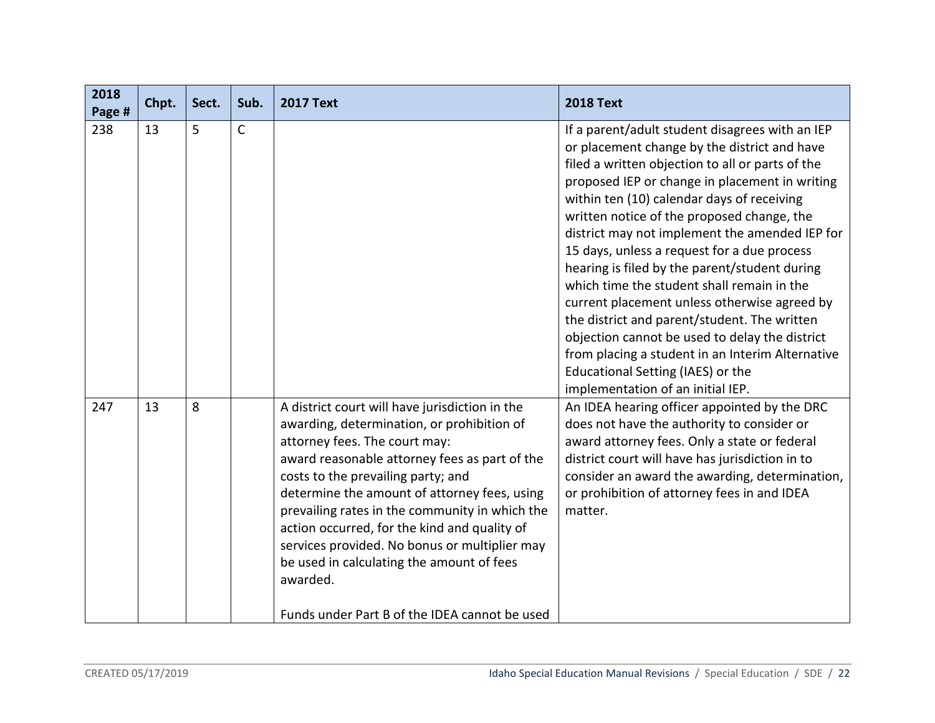| 2018<br>Page # | Chpt. | Sect. | Sub.        | <b>2017 Text</b>                                                                                                                                                                                                                                                                                                                                                                                                                                                                                                                  | <b>2018 Text</b>                                                                                                                                                                                                                                                                                                                                                                                                                                                                                                                                                                                                                                                                                                                                                                  |
|----------------|-------|-------|-------------|-----------------------------------------------------------------------------------------------------------------------------------------------------------------------------------------------------------------------------------------------------------------------------------------------------------------------------------------------------------------------------------------------------------------------------------------------------------------------------------------------------------------------------------|-----------------------------------------------------------------------------------------------------------------------------------------------------------------------------------------------------------------------------------------------------------------------------------------------------------------------------------------------------------------------------------------------------------------------------------------------------------------------------------------------------------------------------------------------------------------------------------------------------------------------------------------------------------------------------------------------------------------------------------------------------------------------------------|
| 238            | 13    | 5     | $\mathsf C$ |                                                                                                                                                                                                                                                                                                                                                                                                                                                                                                                                   | If a parent/adult student disagrees with an IEP<br>or placement change by the district and have<br>filed a written objection to all or parts of the<br>proposed IEP or change in placement in writing<br>within ten (10) calendar days of receiving<br>written notice of the proposed change, the<br>district may not implement the amended IEP for<br>15 days, unless a request for a due process<br>hearing is filed by the parent/student during<br>which time the student shall remain in the<br>current placement unless otherwise agreed by<br>the district and parent/student. The written<br>objection cannot be used to delay the district<br>from placing a student in an Interim Alternative<br>Educational Setting (IAES) or the<br>implementation of an initial IEP. |
| 247            | 13    | 8     |             | A district court will have jurisdiction in the<br>awarding, determination, or prohibition of<br>attorney fees. The court may:<br>award reasonable attorney fees as part of the<br>costs to the prevailing party; and<br>determine the amount of attorney fees, using<br>prevailing rates in the community in which the<br>action occurred, for the kind and quality of<br>services provided. No bonus or multiplier may<br>be used in calculating the amount of fees<br>awarded.<br>Funds under Part B of the IDEA cannot be used | An IDEA hearing officer appointed by the DRC<br>does not have the authority to consider or<br>award attorney fees. Only a state or federal<br>district court will have has jurisdiction in to<br>consider an award the awarding, determination,<br>or prohibition of attorney fees in and IDEA<br>matter.                                                                                                                                                                                                                                                                                                                                                                                                                                                                         |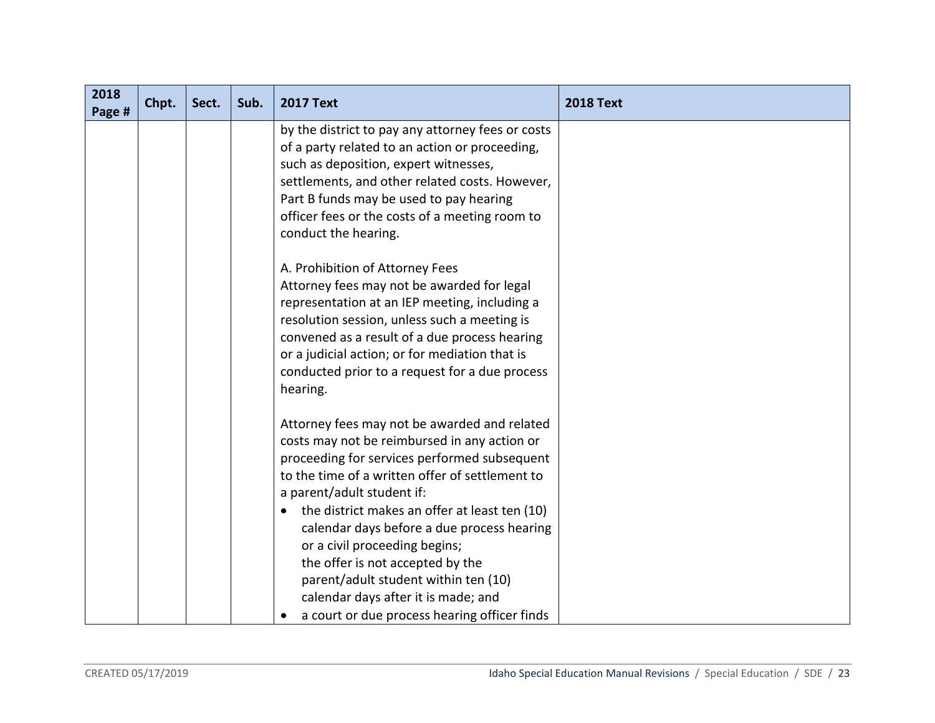| 2018<br>Page # | Chpt. | Sect. | Sub. | <b>2017 Text</b>                                                                                                                                                                                                                                                                                                                                                                                                                                                                                                                              | <b>2018 Text</b> |
|----------------|-------|-------|------|-----------------------------------------------------------------------------------------------------------------------------------------------------------------------------------------------------------------------------------------------------------------------------------------------------------------------------------------------------------------------------------------------------------------------------------------------------------------------------------------------------------------------------------------------|------------------|
|                |       |       |      | by the district to pay any attorney fees or costs<br>of a party related to an action or proceeding,<br>such as deposition, expert witnesses,<br>settlements, and other related costs. However,<br>Part B funds may be used to pay hearing<br>officer fees or the costs of a meeting room to<br>conduct the hearing.                                                                                                                                                                                                                           |                  |
|                |       |       |      | A. Prohibition of Attorney Fees<br>Attorney fees may not be awarded for legal<br>representation at an IEP meeting, including a<br>resolution session, unless such a meeting is<br>convened as a result of a due process hearing<br>or a judicial action; or for mediation that is<br>conducted prior to a request for a due process<br>hearing.                                                                                                                                                                                               |                  |
|                |       |       |      | Attorney fees may not be awarded and related<br>costs may not be reimbursed in any action or<br>proceeding for services performed subsequent<br>to the time of a written offer of settlement to<br>a parent/adult student if:<br>the district makes an offer at least ten (10)<br>calendar days before a due process hearing<br>or a civil proceeding begins;<br>the offer is not accepted by the<br>parent/adult student within ten (10)<br>calendar days after it is made; and<br>a court or due process hearing officer finds<br>$\bullet$ |                  |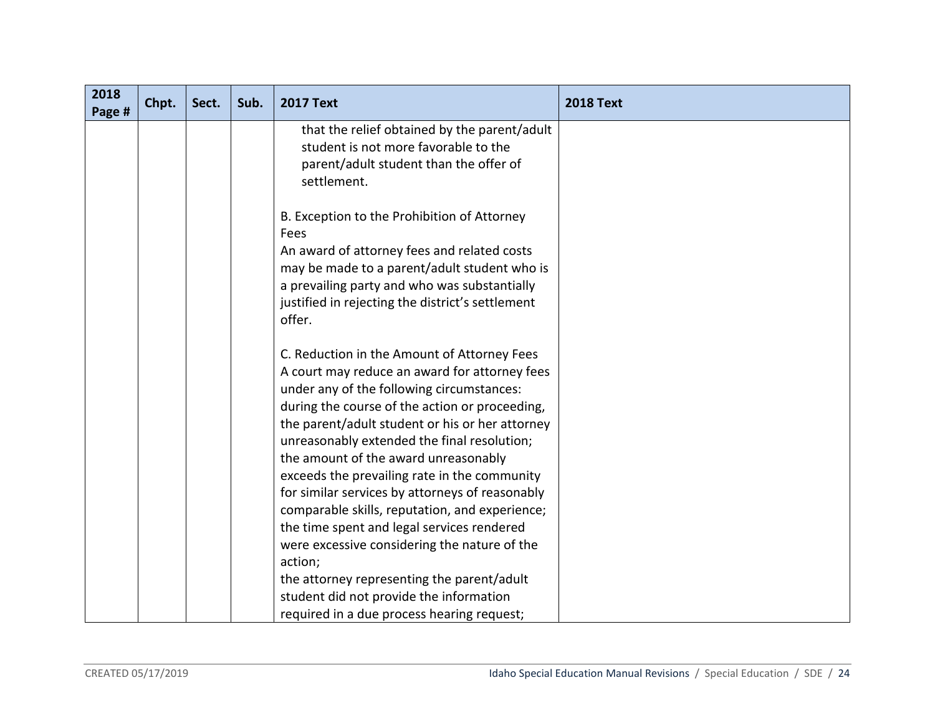| 2018<br>Page # | Chpt. | Sect. | Sub. | <b>2017 Text</b>                                                                                                                                                                                                                                                                                                                                                                                                                                                                                                                                                                                                                                                                                                                           | <b>2018 Text</b> |
|----------------|-------|-------|------|--------------------------------------------------------------------------------------------------------------------------------------------------------------------------------------------------------------------------------------------------------------------------------------------------------------------------------------------------------------------------------------------------------------------------------------------------------------------------------------------------------------------------------------------------------------------------------------------------------------------------------------------------------------------------------------------------------------------------------------------|------------------|
|                |       |       |      | that the relief obtained by the parent/adult<br>student is not more favorable to the<br>parent/adult student than the offer of<br>settlement.                                                                                                                                                                                                                                                                                                                                                                                                                                                                                                                                                                                              |                  |
|                |       |       |      | B. Exception to the Prohibition of Attorney<br>Fees<br>An award of attorney fees and related costs<br>may be made to a parent/adult student who is<br>a prevailing party and who was substantially<br>justified in rejecting the district's settlement<br>offer.                                                                                                                                                                                                                                                                                                                                                                                                                                                                           |                  |
|                |       |       |      | C. Reduction in the Amount of Attorney Fees<br>A court may reduce an award for attorney fees<br>under any of the following circumstances:<br>during the course of the action or proceeding,<br>the parent/adult student or his or her attorney<br>unreasonably extended the final resolution;<br>the amount of the award unreasonably<br>exceeds the prevailing rate in the community<br>for similar services by attorneys of reasonably<br>comparable skills, reputation, and experience;<br>the time spent and legal services rendered<br>were excessive considering the nature of the<br>action;<br>the attorney representing the parent/adult<br>student did not provide the information<br>required in a due process hearing request; |                  |